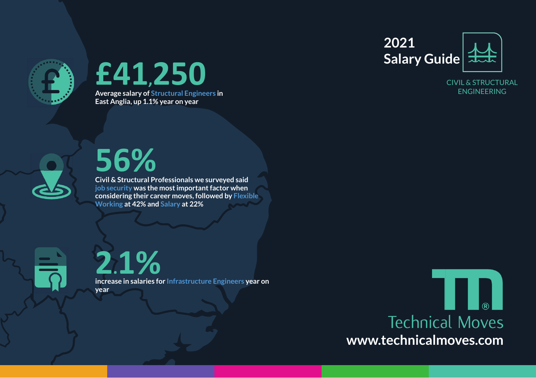





**CIVIL & STRUCTURAL** ENGINEERING

**56%**

**Civil & Structural Professionals we surveyed said job security was the most important factor when considering their career moves, followed by Flexible Working at 42% and Salary at 22%**

**2 .1%**

**increase in salaries for Infrastructure Engineers year on year**

**Technical Moves www.technicalmoves.com**